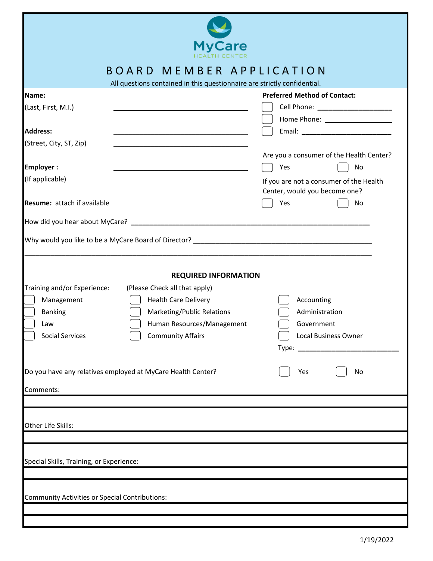

## B O A R D M E M B E R A P P L I C A T I O N

All questions contained in this questionnaire are strictly confidential.

| All questions contained in this questionnaire are strictly confidential.                                                                                                                                                                                                                                                                           |                                                                                                                                                                                                                                       |
|----------------------------------------------------------------------------------------------------------------------------------------------------------------------------------------------------------------------------------------------------------------------------------------------------------------------------------------------------|---------------------------------------------------------------------------------------------------------------------------------------------------------------------------------------------------------------------------------------|
| Name:<br>(Last, First, M.I.)<br><b>Address:</b><br>(Street, City, ST, Zip)<br><b>Employer:</b><br>(If applicable)<br>Resume: attach if available                                                                                                                                                                                                   | <b>Preferred Method of Contact:</b><br>Cell Phone: New York Phone State Cell Phone:<br>Are you a consumer of the Health Center?<br>Yes<br>No<br>If you are not a consumer of the Health<br>Center, would you become one?<br>Yes<br>No |
|                                                                                                                                                                                                                                                                                                                                                    |                                                                                                                                                                                                                                       |
|                                                                                                                                                                                                                                                                                                                                                    |                                                                                                                                                                                                                                       |
| <b>REQUIRED INFORMATION</b><br>Training and/or Experience:<br>(Please Check all that apply)<br>Management<br><b>Health Care Delivery</b><br>Marketing/Public Relations<br><b>Banking</b><br>Human Resources/Management<br>Law<br><b>Community Affairs</b><br><b>Social Services</b><br>Do you have any relatives employed at MyCare Health Center? | Accounting<br>Administration<br>Government<br>Local Business Owner<br>Yes<br>No                                                                                                                                                       |
|                                                                                                                                                                                                                                                                                                                                                    |                                                                                                                                                                                                                                       |
| Comments:                                                                                                                                                                                                                                                                                                                                          |                                                                                                                                                                                                                                       |
| Other Life Skills:                                                                                                                                                                                                                                                                                                                                 |                                                                                                                                                                                                                                       |
|                                                                                                                                                                                                                                                                                                                                                    |                                                                                                                                                                                                                                       |
| Special Skills, Training, or Experience:                                                                                                                                                                                                                                                                                                           |                                                                                                                                                                                                                                       |
|                                                                                                                                                                                                                                                                                                                                                    |                                                                                                                                                                                                                                       |
| <b>Community Activities or Special Contributions:</b>                                                                                                                                                                                                                                                                                              |                                                                                                                                                                                                                                       |